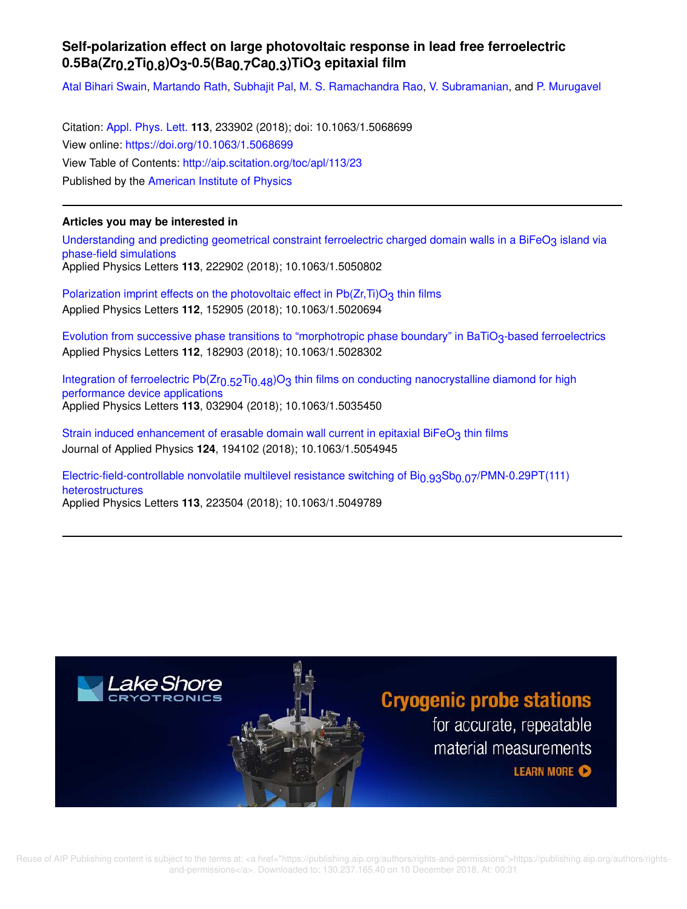## **Self-polarization effect on large photovoltaic response in lead free ferroelectric 0.5Ba(Zr0.2Ti0.8)O3-0.5(Ba0.7Ca0.3)TiO3 epitaxial film**

Atal Bihari Swain, Martando Rath, Subhajit Pal, M. S. Ramachandra Rao, V. Subramanian, and P. Murugavel

Citation: Appl. Phys. Lett. **113**, 233902 (2018); doi: 10.1063/1.5068699 View online: https://doi.org/10.1063/1.5068699 View Table of Contents: http://aip.scitation.org/toc/apl/113/23 Published by the American Institute of Physics

## **Articles you may be interested in**

Understanding and predicting geometrical constraint ferroelectric charged domain walls in a BiFeO3 island via phase-field simulations Applied Physics Letters **113**, 222902 (2018); 10.1063/1.5050802

Polarization imprint effects on the photovoltaic effect in  $Pb(Zr,Ti)O<sub>3</sub>$  thin films Applied Physics Letters **112**, 152905 (2018); 10.1063/1.5020694

Evolution from successive phase transitions to "morphotropic phase boundary" in BaTiO<sub>3</sub>-based ferroelectrics Applied Physics Letters **112**, 182903 (2018); 10.1063/1.5028302

Integration of ferroelectric Pb(Zr<sub>0.52</sub>Ti<sub>0.48</sub>)O<sub>3</sub> thin films on conducting nanocrystalline diamond for high performance device applications Applied Physics Letters **113**, 032904 (2018); 10.1063/1.5035450

Strain induced enhancement of erasable domain wall current in epitaxial BiFeO<sub>3</sub> thin films Journal of Applied Physics **124**, 194102 (2018); 10.1063/1.5054945

Electric-field-controllable nonvolatile multilevel resistance switching of Bi<sub>0.93</sub>Sb<sub>0.07</sub>/PMN-0.29PT(111) heterostructures Applied Physics Letters **113**, 223504 (2018); 10.1063/1.5049789

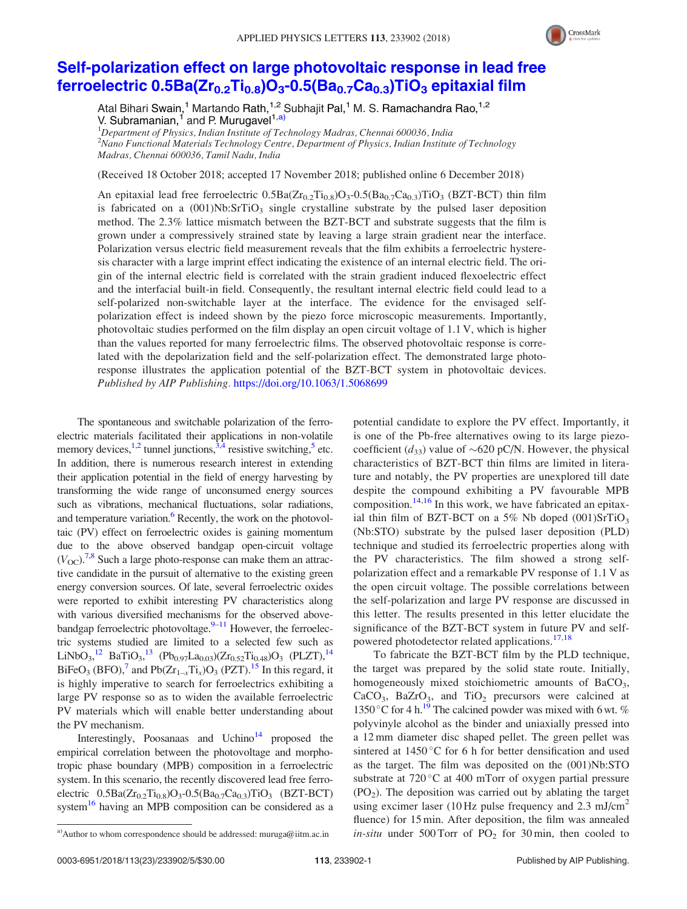

## Self-polarization effect on large photovoltaic response in lead free ferroelectric  $0.5Ba(Zr_{0.2}Ti_{0.8})O_3-0.5(Ba_{0.7}Ca_{0.3})TiO_3$  epitaxial film

Atal Bihari Swain,<sup>1</sup> Martando Rath,<sup>1,2</sup> Subhajit Pal,<sup>1</sup> M. S. Ramachandra Rao,<sup>1,2</sup> V. Subramanian, <sup>1</sup> and P. Murugavel<sup>1,a)</sup>

 $1$ Department of Physics, Indian Institute of Technology Madras, Chennai 600036, India  $^2$ Nano Functional Materials Technology Centre, Department of Physics, Indian Institute of Technology Madras, Chennai 600036, Tamil Nadu, India

(Received 18 October 2018; accepted 17 November 2018; published online 6 December 2018)

An epitaxial lead free ferroelectric  $0.5Ba(Zr_{0.2}Ti_{0.8})O_3-0.5(Ba_{0.7}Ca_{0.3})TiO_3$  (BZT-BCT) thin film is fabricated on a  $(001)Nb:SrTiO<sub>3</sub>$  single crystalline substrate by the pulsed laser deposition method. The 2.3% lattice mismatch between the BZT-BCT and substrate suggests that the film is grown under a compressively strained state by leaving a large strain gradient near the interface. Polarization versus electric field measurement reveals that the film exhibits a ferroelectric hysteresis character with a large imprint effect indicating the existence of an internal electric field. The origin of the internal electric field is correlated with the strain gradient induced flexoelectric effect and the interfacial built-in field. Consequently, the resultant internal electric field could lead to a self-polarized non-switchable layer at the interface. The evidence for the envisaged selfpolarization effect is indeed shown by the piezo force microscopic measurements. Importantly, photovoltaic studies performed on the film display an open circuit voltage of 1.1 V, which is higher than the values reported for many ferroelectric films. The observed photovoltaic response is correlated with the depolarization field and the self-polarization effect. The demonstrated large photoresponse illustrates the application potential of the BZT-BCT system in photovoltaic devices. Published by AIP Publishing. https://doi.org/10.1063/1.5068699

The spontaneous and switchable polarization of the ferroelectric materials facilitated their applications in non-volatile memory devices,  $^{1,2}$  tunnel junctions,  $^{3,4}$  resistive switching, <sup>5</sup> etc. In addition, there is numerous research interest in extending their application potential in the field of energy harvesting by transforming the wide range of unconsumed energy sources such as vibrations, mechanical fluctuations, solar radiations, and temperature variation.<sup>6</sup> Recently, the work on the photovoltaic (PV) effect on ferroelectric oxides is gaining momentum due to the above observed bandgap open-circuit voltage  $(V_{\text{OC}})^{7,8}$  Such a large photo-response can make them an attractive candidate in the pursuit of alternative to the existing green energy conversion sources. Of late, several ferroelectric oxides were reported to exhibit interesting PV characteristics along with various diversified mechanisms for the observed abovebandgap ferroelectric photovoltage. $9-11$  However, the ferroelectric systems studied are limited to a selected few such as LiNbO<sub>3</sub>,<sup>12</sup> BaTiO<sub>3</sub>,<sup>13</sup> (Pb<sub>0.97</sub>La<sub>0.03</sub>)(Zr<sub>0.52</sub>Ti<sub>0.48</sub>)O<sub>3</sub> (PLZT),<sup>14</sup> BiFeO<sub>3</sub> (BFO),<sup>7</sup> and Pb( $Zr_{1-x}Ti_x$ )O<sub>3</sub> (PZT).<sup>15</sup> In this regard, it is highly imperative to search for ferroelectrics exhibiting a large PV response so as to widen the available ferroelectric PV materials which will enable better understanding about the PV mechanism.

Interestingly, Poosanaas and Uchino<sup>14</sup> proposed the empirical correlation between the photovoltage and morphotropic phase boundary (MPB) composition in a ferroelectric system. In this scenario, the recently discovered lead free ferroelectric  $0.5Ba(Zr_{0.2}Ti_{0.8})O_3-0.5(Ba_{0.7}Ca_{0.3})TiO_3$  (BZT-BCT) system<sup>16</sup> having an MPB composition can be considered as a potential candidate to explore the PV effect. Importantly, it is one of the Pb-free alternatives owing to its large piezocoefficient ( $d_{33}$ ) value of ~620 pC/N. However, the physical characteristics of BZT-BCT thin films are limited in literature and notably, the PV properties are unexplored till date despite the compound exhibiting a PV favourable MPB composition. $14,16$  In this work, we have fabricated an epitaxial thin film of BZT-BCT on a 5% Nb doped  $(001)$ SrTiO<sub>3</sub> (Nb:STO) substrate by the pulsed laser deposition (PLD) technique and studied its ferroelectric properties along with the PV characteristics. The film showed a strong selfpolarization effect and a remarkable PV response of 1.1 V as the open circuit voltage. The possible correlations between the self-polarization and large PV response are discussed in this letter. The results presented in this letter elucidate the significance of the BZT-BCT system in future PV and selfpowered photodetector related applications.<sup>17,18</sup>

To fabricate the BZT-BCT film by the PLD technique, the target was prepared by the solid state route. Initially, homogeneously mixed stoichiometric amounts of BaCO<sub>3</sub>,  $CaCO<sub>3</sub>$ , BaZrO<sub>3</sub>, and TiO<sub>2</sub> precursors were calcined at 1350 °C for 4 h.<sup>19</sup> The calcined powder was mixed with 6 wt. % polyvinyle alcohol as the binder and uniaxially pressed into a 12 mm diameter disc shaped pellet. The green pellet was sintered at  $1450^{\circ}$ C for 6 h for better densification and used as the target. The film was deposited on the (001)Nb:STO substrate at  $720\degree C$  at 400 mTorr of oxygen partial pressure  $(PO<sub>2</sub>)$ . The deposition was carried out by ablating the target using excimer laser (10 Hz pulse frequency and 2.3 mJ/cm<sup>2</sup> fluence) for 15 min. After deposition, the film was annealed a) Author to whom correspondence should be addressed: muruga@iitm.ac.in *in-situ* under 500 Torr of  $PO_2$  for 30 min, then cooled to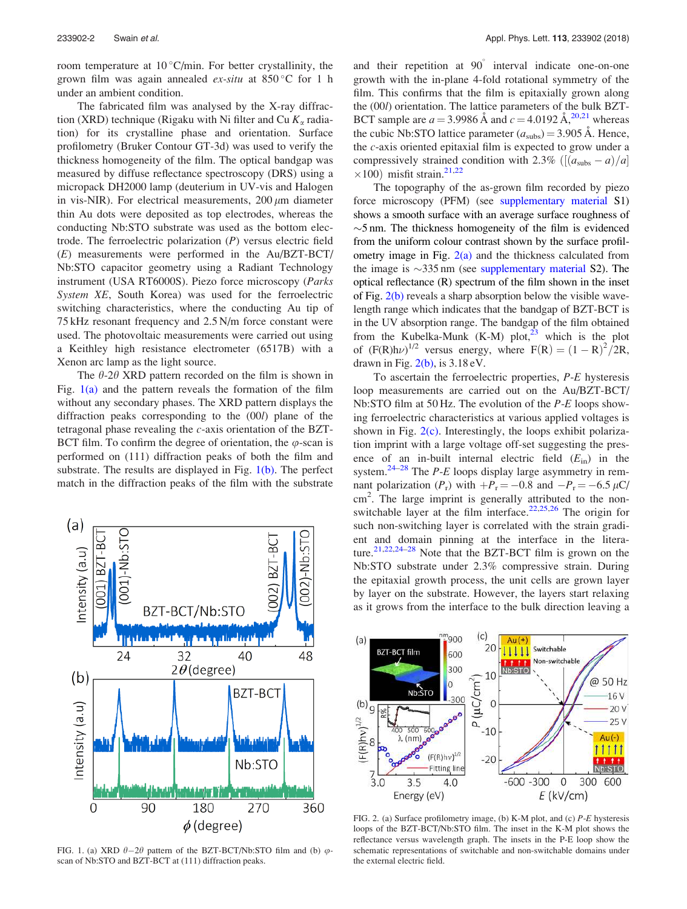room temperature at  $10^{\circ}$ C/min. For better crystallinity, the grown film was again annealed  $ex\text{-}situ$  at 850 °C for 1 h under an ambient condition.

The fabricated film was analysed by the X-ray diffraction (XRD) technique (Rigaku with Ni filter and Cu  $K_{\alpha}$  radiation) for its crystalline phase and orientation. Surface profilometry (Bruker Contour GT-3d) was used to verify the thickness homogeneity of the film. The optical bandgap was measured by diffuse reflectance spectroscopy (DRS) using a micropack DH2000 lamp (deuterium in UV-vis and Halogen in vis-NIR). For electrical measurements,  $200 \mu m$  diameter thin Au dots were deposited as top electrodes, whereas the conducting Nb:STO substrate was used as the bottom electrode. The ferroelectric polarization  $(P)$  versus electric field (E) measurements were performed in the Au/BZT-BCT/ Nb:STO capacitor geometry using a Radiant Technology instrument (USA RT6000S). Piezo force microscopy (Parks System XE, South Korea) was used for the ferroelectric switching characteristics, where the conducting Au tip of 75 kHz resonant frequency and 2.5 N/m force constant were used. The photovoltaic measurements were carried out using a Keithley high resistance electrometer (6517B) with a Xenon arc lamp as the light source.

The  $\theta$ -2 $\theta$  XRD pattern recorded on the film is shown in Fig.  $1(a)$  and the pattern reveals the formation of the film without any secondary phases. The XRD pattern displays the diffraction peaks corresponding to the (00l) plane of the tetragonal phase revealing the c-axis orientation of the BZT-BCT film. To confirm the degree of orientation, the  $\varphi$ -scan is performed on (111) diffraction peaks of both the film and substrate. The results are displayed in Fig.  $1(b)$ . The perfect match in the diffraction peaks of the film with the substrate



FIG. 1. (a) XRD  $\theta-2\theta$  pattern of the BZT-BCT/Nb:STO film and (b)  $\varphi$ scan of Nb:STO and BZT-BCT at (111) diffraction peaks.

and their repetition at 90° interval indicate one-on-one growth with the in-plane 4-fold rotational symmetry of the film. This confirms that the film is epitaxially grown along the (00l) orientation. The lattice parameters of the bulk BZT-BCT sample are  $a = 3.9986 \text{ Å}$  and  $c = 4.0192 \text{ Å}^{20,21}$  whereas the cubic Nb:STO lattice parameter  $(a_{\text{subs}}) = 3.905 \text{ Å}$ . Hence, the c-axis oriented epitaxial film is expected to grow under a compressively strained condition with 2.3% ( $\left[\frac{a_{\text{subs}}-a}{a_{\text{b}}} - a\right]$  $\times 100$ ) misfit strain.<sup>21,22</sup>

The topography of the as-grown film recorded by piezo force microscopy (PFM) (see supplementary material S1) shows a smooth surface with an average surface roughness of  $\sim$ 5 nm. The thickness homogeneity of the film is evidenced from the uniform colour contrast shown by the surface profilometry image in Fig.  $2(a)$  and the thickness calculated from the image is  $\sim$ 335 nm (see supplementary material S2). The optical reflectance (R) spectrum of the film shown in the inset of Fig.  $2(b)$  reveals a sharp absorption below the visible wavelength range which indicates that the bandgap of BZT-BCT is in the UV absorption range. The bandgap of the film obtained from the Kubelka-Munk  $(K-M)$  plot,<sup>23</sup> which is the plot of  $(F(R)h\nu)^{1/2}$  versus energy, where  $F(R) = (1 - R)^2 / 2R$ , drawn in Fig.  $2(b)$ , is  $3.18 \text{ eV}$ .

To ascertain the ferroelectric properties, P-E hysteresis loop measurements are carried out on the Au/BZT-BCT/ Nb:STO film at 50 Hz. The evolution of the P-E loops showing ferroelectric characteristics at various applied voltages is shown in Fig. 2(c). Interestingly, the loops exhibit polarization imprint with a large voltage off-set suggesting the presence of an in-built internal electric field  $(E_{in})$  in the system.<sup>24–28</sup> The *P-E* loops display large asymmetry in remnant polarization  $(P_r)$  with  $+P_r = -0.8$  and  $-P_r = -6.5 \mu C$ / cm<sup>2</sup>. The large imprint is generally attributed to the nonswitchable layer at the film interface.<sup>22,25,26</sup> The origin for such non-switching layer is correlated with the strain gradient and domain pinning at the interface in the literature.<sup>21,22,24–28</sup> Note that the BZT-BCT film is grown on the Nb:STO substrate under 2.3% compressive strain. During the epitaxial growth process, the unit cells are grown layer by layer on the substrate. However, the layers start relaxing as it grows from the interface to the bulk direction leaving a



FIG. 2. (a) Surface profilometry image, (b) K-M plot, and (c) P-E hysteresis loops of the BZT-BCT/Nb:STO film. The inset in the K-M plot shows the reflectance versus wavelength graph. The insets in the P-E loop show the schematic representations of switchable and non-switchable domains under the external electric field.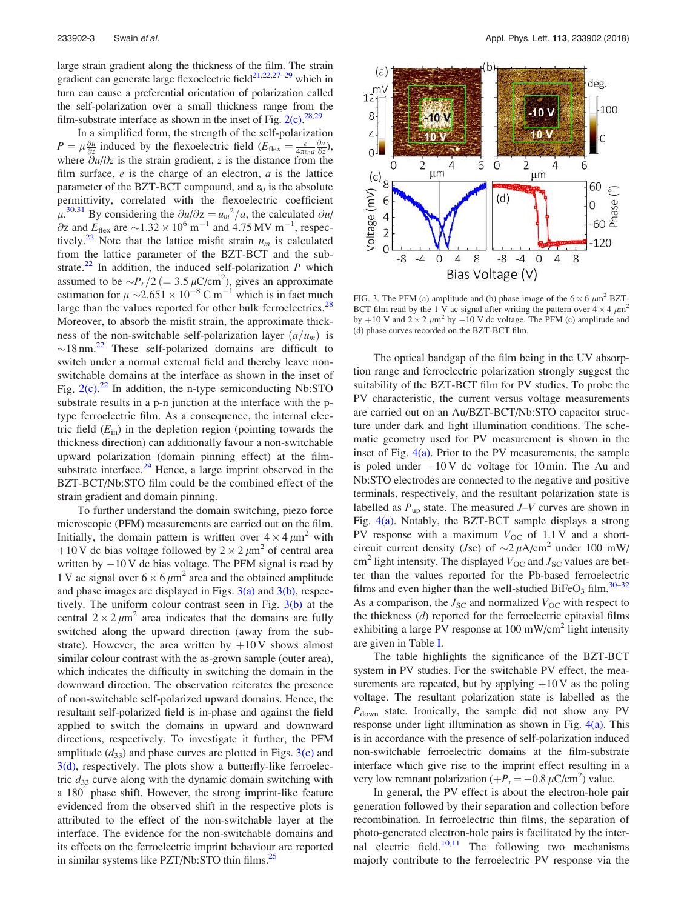large strain gradient along the thickness of the film. The strain gradient can generate large flexoelectric field $21,22,27-29$  which in turn can cause a preferential orientation of polarization called the self-polarization over a small thickness range from the film-substrate interface as shown in the inset of Fig.  $2(c)$ . <sup>28,29</sup>

In a simplified form, the strength of the self-polarization  $P = \mu \frac{\partial u}{\partial z}$  induced by the flexoelectric field  $(E_{\text{flex}} = \frac{e}{4\pi\varepsilon_0 a} \frac{\partial u}{\partial z}),$ where  $\partial u/\partial z$  is the strain gradient, z is the distance from the film surface,  $e$  is the charge of an electron,  $a$  is the lattice parameter of the BZT-BCT compound, and  $\varepsilon_0$  is the absolute permittivity, correlated with the flexoelectric coefficient  $\mu^{30,31}$  By considering the  $\partial u/\partial z = u_m^2/a$ , the calculated  $\partial u/\partial x$  $\partial z$  and  $E_{\text{flex}}$  are  $\sim$ 1.32  $\times$  10<sup>6</sup> m<sup>-1</sup> and 4.75 MV m<sup>-1</sup>, respectively.<sup>22</sup> Note that the lattice misfit strain  $u_m$  is calculated from the lattice parameter of the BZT-BCT and the substrate.<sup>22</sup> In addition, the induced self-polarization  $P$  which assumed to be  $\sim P_r/2$  (= 3.5  $\mu$ C/cm<sup>2</sup>), gives an approximate estimation for  $\mu \sim 2.651 \times 10^{-8}$  C m<sup>-1</sup> which is in fact much large than the values reported for other bulk ferroelectrics. $^{28}$ Moreover, to absorb the misfit strain, the approximate thickness of the non-switchable self-polarization layer  $\left(\frac{a}{u_m}\right)$  is  $\sim$ 18 nm.<sup>22</sup> These self-polarized domains are difficult to switch under a normal external field and thereby leave nonswitchable domains at the interface as shown in the inset of Fig.  $2(c)$ .<sup>22</sup> In addition, the n-type semiconducting Nb:STO substrate results in a p-n junction at the interface with the ptype ferroelectric film. As a consequence, the internal electric field  $(E_{in})$  in the depletion region (pointing towards the thickness direction) can additionally favour a non-switchable upward polarization (domain pinning effect) at the filmsubstrate interface.<sup>29</sup> Hence, a large imprint observed in the BZT-BCT/Nb:STO film could be the combined effect of the strain gradient and domain pinning.

To further understand the domain switching, piezo force microscopic (PFM) measurements are carried out on the film. Initially, the domain pattern is written over  $4 \times 4 \mu m^2$  with +10 V dc bias voltage followed by  $2 \times 2 \mu m^2$  of central area written by  $-10$  V dc bias voltage. The PFM signal is read by 1 V ac signal over  $6 \times 6 \mu m^2$  area and the obtained amplitude and phase images are displayed in Figs.  $3(a)$  and  $3(b)$ , respectively. The uniform colour contrast seen in Fig. 3(b) at the central  $2 \times 2 \mu m^2$  area indicates that the domains are fully switched along the upward direction (away from the substrate). However, the area written by  $+10V$  shows almost similar colour contrast with the as-grown sample (outer area), which indicates the difficulty in switching the domain in the downward direction. The observation reiterates the presence of non-switchable self-polarized upward domains. Hence, the resultant self-polarized field is in-phase and against the field applied to switch the domains in upward and downward directions, respectively. To investigate it further, the PFM amplitude  $(d_{33})$  and phase curves are plotted in Figs.  $3(c)$  and 3(d), respectively. The plots show a butterfly-like ferroelectric  $d_{33}$  curve along with the dynamic domain switching with a 180<sup>°</sup> phase shift. However, the strong imprint-like feature evidenced from the observed shift in the respective plots is attributed to the effect of the non-switchable layer at the interface. The evidence for the non-switchable domains and its effects on the ferroelectric imprint behaviour are reported in similar systems like PZT/Nb:STO thin films.<sup>25</sup>



FIG. 3. The PFM (a) amplitude and (b) phase image of the  $6 \times 6 \ \mu m^2$  BZT-BCT film read by the 1 V ac signal after writing the pattern over  $4 \times 4 \mu m^2$ by +10 V and  $2 \times 2 \mu m^2$  by -10 V dc voltage. The PFM (c) amplitude and (d) phase curves recorded on the BZT-BCT film.

The optical bandgap of the film being in the UV absorption range and ferroelectric polarization strongly suggest the suitability of the BZT-BCT film for PV studies. To probe the PV characteristic, the current versus voltage measurements are carried out on an Au/BZT-BCT/Nb:STO capacitor structure under dark and light illumination conditions. The schematic geometry used for PV measurement is shown in the inset of Fig.  $4(a)$ . Prior to the PV measurements, the sample is poled under  $-10V$  dc voltage for 10 min. The Au and Nb:STO electrodes are connected to the negative and positive terminals, respectively, and the resultant polarization state is labelled as  $P_{\text{up}}$  state. The measured  $J-V$  curves are shown in Fig. 4(a). Notably, the BZT-BCT sample displays a strong PV response with a maximum  $V_{OC}$  of 1.1 V and a shortcircuit current density (Jsc) of  $\sim$ 2  $\mu$ A/cm<sup>2</sup> under 100 mW/ cm<sup>2</sup> light intensity. The displayed  $V_{\text{OC}}$  and  $J_{\text{SC}}$  values are better than the values reported for the Pb-based ferroelectric films and even higher than the well-studied BiFeO<sub>3</sub> film.<sup>30–32</sup> As a comparison, the  $J_{SC}$  and normalized  $V_{OC}$  with respect to the thickness  $(d)$  reported for the ferroelectric epitaxial films exhibiting a large PV response at  $100 \text{ mW/cm}^2$  light intensity are given in Table I.

The table highlights the significance of the BZT-BCT system in PV studies. For the switchable PV effect, the measurements are repeated, but by applying  $+10$  V as the poling voltage. The resultant polarization state is labelled as the  $P_{\text{down}}$  state. Ironically, the sample did not show any PV response under light illumination as shown in Fig. 4(a). This is in accordance with the presence of self-polarization induced non-switchable ferroelectric domains at the film-substrate interface which give rise to the imprint effect resulting in a very low remnant polarization  $(+P_r = -0.8 \,\mu\text{C/cm}^2)$  value.

In general, the PV effect is about the electron-hole pair generation followed by their separation and collection before recombination. In ferroelectric thin films, the separation of photo-generated electron-hole pairs is facilitated by the internal electric field. $10,11$  The following two mechanisms majorly contribute to the ferroelectric PV response via the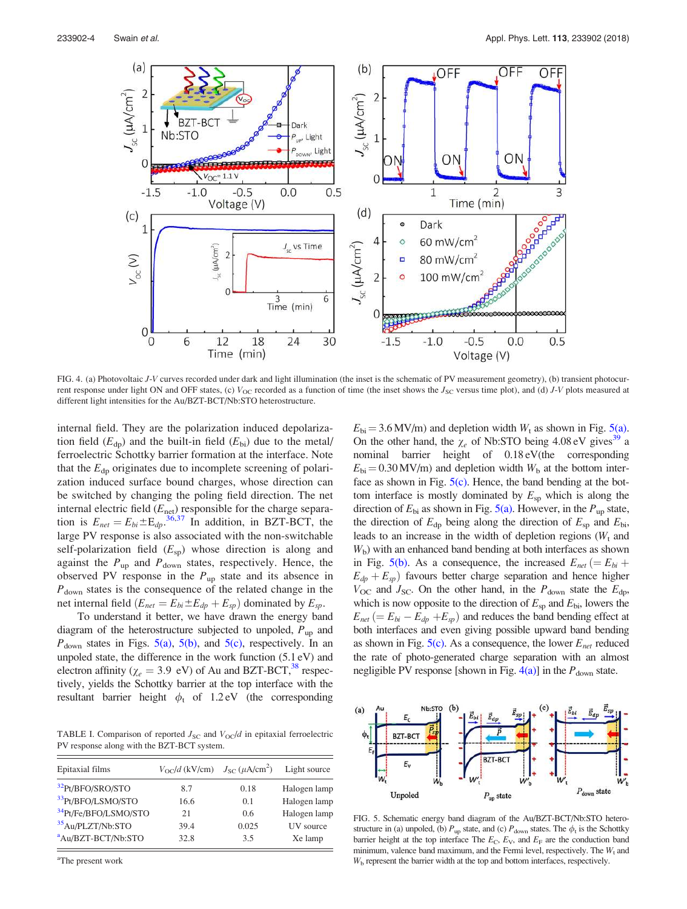

FIG. 4. (a) Photovoltaic J-V curves recorded under dark and light illumination (the inset is the schematic of PV measurement geometry), (b) transient photocurrent response under light ON and OFF states, (c)  $V_{OC}$  recorded as a function of time (the inset shows the  $J_{SC}$  versus time plot), and (d) J-V plots measured at different light intensities for the Au/BZT-BCT/Nb:STO heterostructure.

internal field. They are the polarization induced depolarization field  $(E_{dp})$  and the built-in field  $(E_{bi})$  due to the metal/ ferroelectric Schottky barrier formation at the interface. Note that the  $E_{dp}$  originates due to incomplete screening of polarization induced surface bound charges, whose direction can be switched by changing the poling field direction. The net internal electric field  $(E_{\text{net}})$  responsible for the charge separation is  $E_{net} = E_{bi} \pm E_{dp}^{36,37}$  In addition, in BZT-BCT, the large PV response is also associated with the non-switchable self-polarization field  $(E_{\rm SD})$  whose direction is along and against the  $P_{\text{up}}$  and  $P_{\text{down}}$  states, respectively. Hence, the observed PV response in the  $P_{up}$  state and its absence in  $P_{\text{down}}$  states is the consequence of the related change in the net internal field  $(E_{net} = E_{bi} \pm E_{dp} + E_{sp})$  dominated by  $E_{sp}$ .

To understand it better, we have drawn the energy band diagram of the heterostructure subjected to unpoled,  $P_{\text{up}}$  and  $P_{\text{down}}$  states in Figs. 5(a), 5(b), and 5(c), respectively. In an unpoled state, the difference in the work function (5.1 eV) and electron affinity ( $\chi_e$  = 3.9 eV) of Au and BZT-BCT,<sup>38</sup> respectively, yields the Schottky barrier at the top interface with the resultant barrier height  $\phi_t$  of 1.2 eV (the corresponding

TABLE I. Comparison of reported  $J_{SC}$  and  $V_{OC}/d$  in epitaxial ferroelectric PV response along with the BZT-BCT system.

| Epitaxial films                  | $V_{\text{OC}}/d$ (kV/cm) $J_{\text{SC}}(\mu \text{A/cm}^2)$ |       | Light source |
|----------------------------------|--------------------------------------------------------------|-------|--------------|
| <sup>32</sup> Pt/BFO/SRO/STO     | 8.7                                                          | 0.18  | Halogen lamp |
| 33Pt/BFO/LSMO/STO                | 16.6                                                         | 0.1   | Halogen lamp |
| <sup>34</sup> Pt/Fe/BFO/LSMO/STO | 21                                                           | 0.6   | Halogen lamp |
| <sup>35</sup> Au/PLZT/Nb:STO     | 39.4                                                         | 0.025 | UV source    |
| <sup>a</sup> Au/BZT-BCT/Nb:STO   | 32.8                                                         | 3.5   | Xe lamp      |

 $E_{\text{bi}} = 3.6 \text{ MV/m}$ ) and depletion width  $W_t$  as shown in Fig. 5(a). On the other hand, the  $\chi_e$  of Nb:STO being 4.08 eV gives<sup>39</sup> a nominal barrier height of 0.18 eV(the corresponding  $E_{\text{bi}} = 0.30 \text{ MV/m}$  and depletion width  $W_{\text{b}}$  at the bottom interface as shown in Fig.  $5(c)$ . Hence, the band bending at the bottom interface is mostly dominated by  $E_{\rm SD}$  which is along the direction of  $E_{\text{bi}}$  as shown in Fig. 5(a). However, in the  $P_{\text{up}}$  state, the direction of  $E_{dp}$  being along the direction of  $E_{sp}$  and  $E_{bi}$ , leads to an increase in the width of depletion regions  $(W_t$  and  $W<sub>b</sub>$ ) with an enhanced band bending at both interfaces as shown in Fig. 5(b). As a consequence, the increased  $E_{net} (= E_{bi} +$  $E_{dp} + E_{sp}$ ) favours better charge separation and hence higher  $V_{\text{OC}}$  and  $J_{\text{SC}}$ . On the other hand, in the  $P_{\text{down}}$  state the  $E_{\text{dp}}$ , which is now opposite to the direction of  $E_{sp}$  and  $E_{bi}$ , lowers the  $E_{net} (= E_{bi} - E_{dp} + E_{sp})$  and reduces the band bending effect at both interfaces and even giving possible upward band bending as shown in Fig.  $5(c)$ . As a consequence, the lower  $E_{net}$  reduced the rate of photo-generated charge separation with an almost negligible PV response [shown in Fig.  $4(a)$ ] in the  $P_{down}$  state.



FIG. 5. Schematic energy band diagram of the Au/BZT-BCT/Nb:STO heterostructure in (a) unpoled, (b)  $P_{up}$  state, and (c)  $P_{down}$  states. The  $\phi_t$  is the Schottky barrier height at the top interface The  $E_C$ ,  $E_V$ , and  $E_F$  are the conduction band minimum, valence band maximum, and the Fermi level, respectively. The  $W_t$  and  $W<sub>b</sub>$  represent the barrier width at the top and bottom interfaces, respectively.